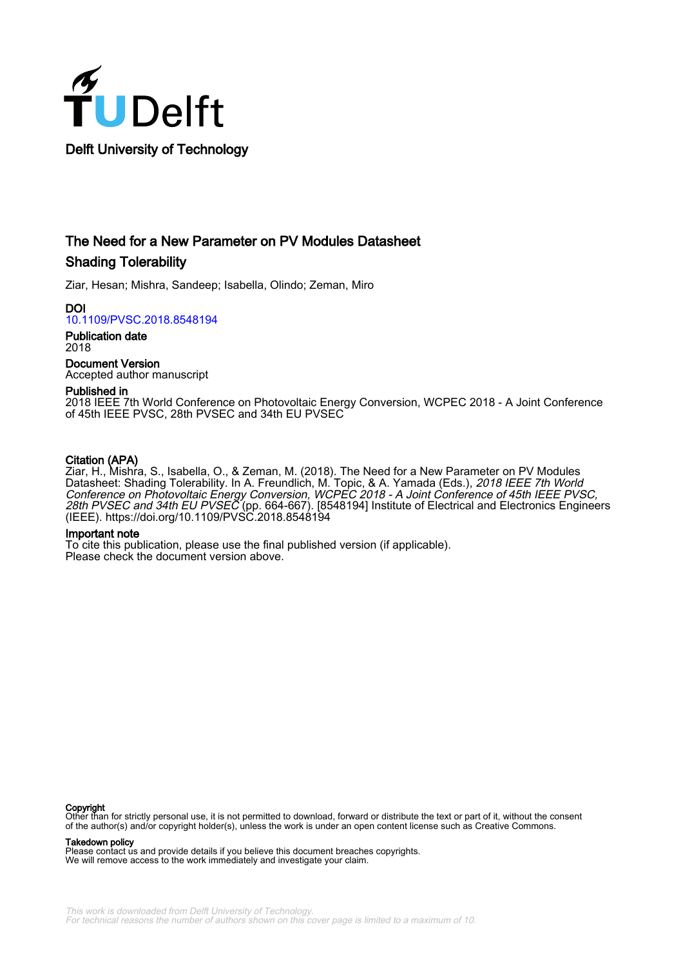

## The Need for a New Parameter on PV Modules Datasheet Shading Tolerability

Ziar, Hesan; Mishra, Sandeep; Isabella, Olindo; Zeman, Miro

DOI [10.1109/PVSC.2018.8548194](https://doi.org/10.1109/PVSC.2018.8548194)

Publication date 2018

Document Version Accepted author manuscript

#### Published in

2018 IEEE 7th World Conference on Photovoltaic Energy Conversion, WCPEC 2018 - A Joint Conference of 45th IEEE PVSC, 28th PVSEC and 34th EU PVSEC

### Citation (APA)

Ziar, H., Mishra, S., Isabella, O., & Zeman, M. (2018). The Need for a New Parameter on PV Modules Datasheet: Shading Tolerability. In A. Freundlich, M. Topic, & A. Yamada (Eds.), *2018 IEEE 7th World* Conference on Photovoltaic Energy Conversion, WCPEC 2018 - A Joint Conference of 45th IEEE PVSC, 28th PVSEC and 34th EU PVSEC (pp. 664-667). [8548194] Institute of Electrical and Electronics Engineers (IEEE). <https://doi.org/10.1109/PVSC.2018.8548194>

#### Important note

To cite this publication, please use the final published version (if applicable). Please check the document version above.

**Copyright**<br>Other than for strictly personal use, it is not permitted to download, forward or distribute the text or part of it, without the consent of the author(s) and/or copyright holder(s), unless the work is under an open content license such as Creative Commons.

Takedown policy

Please contact us and provide details if you believe this document breaches copyrights. We will remove access to the work immediately and investigate your claim.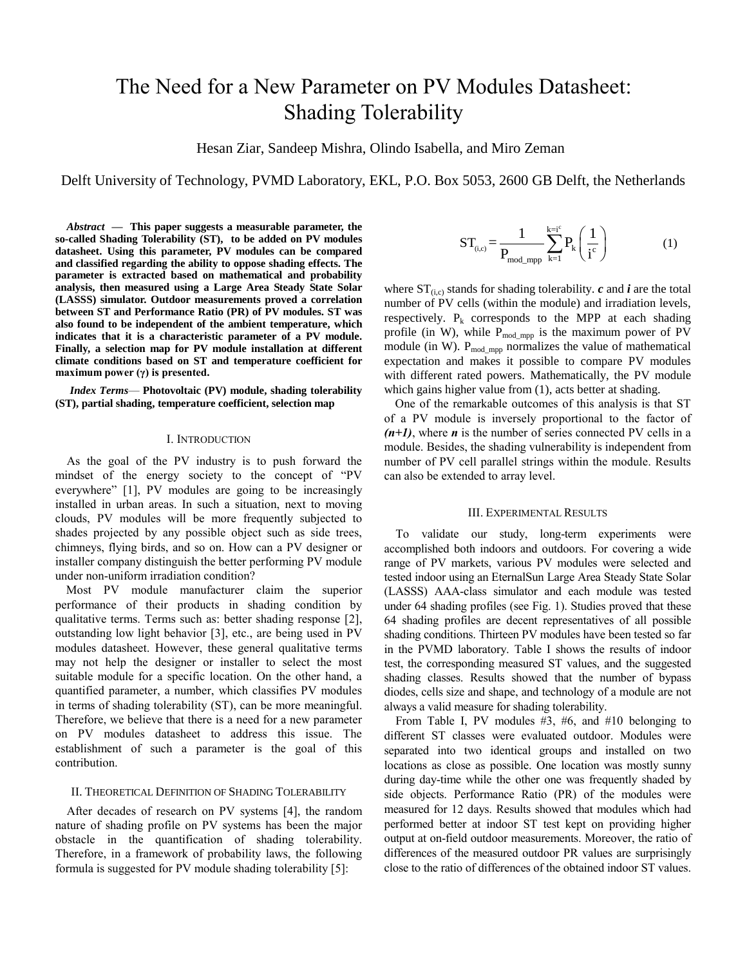# The Need for a New Parameter on PV Modules Datasheet: Shading Tolerability

Hesan Ziar, Sandeep Mishra, Olindo Isabella, and Miro Zeman

Delft University of Technology, PVMD Laboratory, EKL, P.O. Box 5053, 2600 GB Delft, the Netherlands

*Abstract* **— This paper suggests a measurable parameter, the so-called Shading Tolerability (ST), to be added on PV modules datasheet. Using this parameter, PV modules can be compared and classified regarding the ability to oppose shading effects. The parameter is extracted based on mathematical and probability analysis, then measured using a Large Area Steady State Solar (LASSS) simulator. Outdoor measurements proved a correlation between ST and Performance Ratio (PR) of PV modules. ST was also found to be independent of the ambient temperature, which indicates that it is a characteristic parameter of a PV module. Finally, a selection map for PV module installation at different climate conditions based on ST and temperature coefficient for maximum power (γ) is presented.**

*Index Terms*— **Photovoltaic (PV) module, shading tolerability (ST), partial shading, temperature coefficient, selection map**

#### I. INTRODUCTION

As the goal of the PV industry is to push forward the mindset of the energy society to the concept of "PV everywhere" [1], PV modules are going to be increasingly installed in urban areas. In such a situation, next to moving clouds, PV modules will be more frequently subjected to shades projected by any possible object such as side trees, chimneys, flying birds, and so on. How can a PV designer or installer company distinguish the better performing PV module under non-uniform irradiation condition?

Most PV module manufacturer claim the superior performance of their products in shading condition by qualitative terms. Terms such as: better shading response [2], outstanding low light behavior [3], etc., are being used in PV modules datasheet. However, these general qualitative terms may not help the designer or installer to select the most suitable module for a specific location. On the other hand, a quantified parameter, a number, which classifies PV modules in terms of shading tolerability (ST), can be more meaningful. Therefore, we believe that there is a need for a new parameter on PV modules datasheet to address this issue. The establishment of such a parameter is the goal of this contribution.

#### II. THEORETICAL DEFINITION OF SHADING TOLERABILITY

After decades of research on PV systems [4], the random nature of shading profile on PV systems has been the major obstacle in the quantification of shading tolerability. Therefore, in a framework of probability laws, the following formula is suggested for PV module shading tolerability [5]:

$$
ST_{\scriptscriptstyle (i,c)}\!=\!\frac{1}{P_{\scriptscriptstyle mod\_mpp}}\sum_{\scriptscriptstyle k=1}^{k=i^c}P_{\scriptscriptstyle k}\!\left(\frac{1}{i^c}\right) \hspace{1.5cm} (1)
$$

where  $ST_{(i,c)}$  stands for shading tolerability. *c* and *i* are the total number of PV cells (within the module) and irradiation levels, respectively.  $P_k$  corresponds to the MPP at each shading profile (in W), while  $P_{mod\_mpp}$  is the maximum power of PV module (in W).  $P_{mod\_mpp}$  normalizes the value of mathematical expectation and makes it possible to compare PV modules with different rated powers. Mathematically, the PV module which gains higher value from  $(1)$ , acts better at shading.

One of the remarkable outcomes of this analysis is that ST of a PV module is inversely proportional to the factor of  $(n+1)$ , where *n* is the number of series connected PV cells in a module. Besides, the shading vulnerability is independent from number of PV cell parallel strings within the module. Results can also be extended to array level.

#### III. EXPERIMENTAL RESULTS

To validate our study, long-term experiments were accomplished both indoors and outdoors. For covering a wide range of PV markets, various PV modules were selected and tested indoor using an EternalSun Large Area Steady State Solar (LASSS) AAA-class simulator and each module was tested under 64 shading profiles (see Fig. 1). Studies proved that these 64 shading profiles are decent representatives of all possible shading conditions. Thirteen PV modules have been tested so far in the PVMD laboratory. Table I shows the results of indoor test, the corresponding measured ST values, and the suggested shading classes. Results showed that the number of bypass diodes, cells size and shape, and technology of a module are not always a valid measure for shading tolerability.

From Table I, PV modules #3, #6, and #10 belonging to different ST classes were evaluated outdoor. Modules were separated into two identical groups and installed on two locations as close as possible. One location was mostly sunny during day-time while the other one was frequently shaded by side objects. Performance Ratio (PR) of the modules were measured for 12 days. Results showed that modules which had performed better at indoor ST test kept on providing higher output at on-field outdoor measurements. Moreover, the ratio of differences of the measured outdoor PR values are surprisingly close to the ratio of differences of the obtained indoor ST values.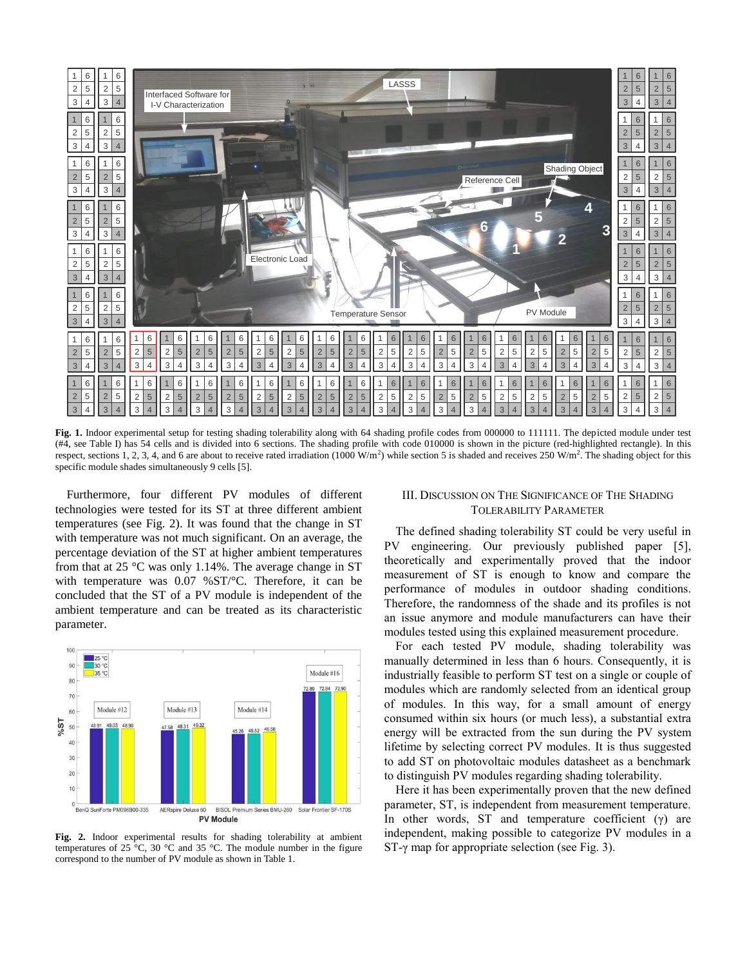

Fig. 1. Indoor experimental setup for testing shading tolerability along with 64 shading profile codes from 000000 to 111111. The depicted module under test (#4, see Table I) has 54 cells and is divided into 6 sections. The shading profile with code 010000 is shown in the picture (red-highlighted rectangle). In this respect, sections 1, 2, 3, 4, and 6 are about to receive rated irradiation (1000 W/m<sup>2</sup>) while section 5 is shaded and receives 250 W/m<sup>2</sup>. The shading object for this specific module shades simultaneously 9 cells [5].

Furthermore, four different PV modules of different technologies were tested for its ST at three different ambient temperatures (see Fig. 2). It was found that the change in ST with temperature was not much significant. On an average, the percentage deviation of the ST at higher ambient temperatures from that at 25 °C was only 1.14%. The average change in ST with temperature was 0.07 %ST/°C. Therefore, it can be concluded that the ST of a PV module is independent of the ambient temperature and can be treated as its characteristic parameter.



**Fig. 2.** Indoor experimental results for shading tolerability at ambient temperatures of 25 $\degree$ C, 30  $\degree$ C and 35  $\degree$ C. The module number in the figure correspond to the number of PV module as shown in Table 1.

#### III. DISCUSSION ON THE SIGNIFICANCE OF THE SHADING TOLERABILITY PARAMETER

The defined shading tolerability ST could be very useful in PV engineering. Our previously published paper [5], theoretically and experimentally proved that the indoor measurement of ST is enough to know and compare the performance of modules in outdoor shading conditions. Therefore, the randomness of the shade and its profiles is not an issue anymore and module manufacturers can have their modules tested using this explained measurement procedure.

For each tested PV module, shading tolerability was manually determined in less than 6 hours. Consequently, it is industrially feasible to perform ST test on a single or couple of modules which are randomly selected from an identical group of modules. In this way, for a small amount of energy consumed within six hours (or much less), a substantial extra energy will be extracted from the sun during the PV system lifetime by selecting correct PV modules. It is thus suggested to add ST on photovoltaic modules datasheet as a benchmark to distinguish PV modules regarding shading tolerability.

Here it has been experimentally proven that the new defined parameter, ST, is independent from measurement temperature. In other words, ST and temperature coefficient  $(\gamma)$  are independent, making possible to categorize PV modules in a ST-γ map for appropriate selection (see Fig. 3).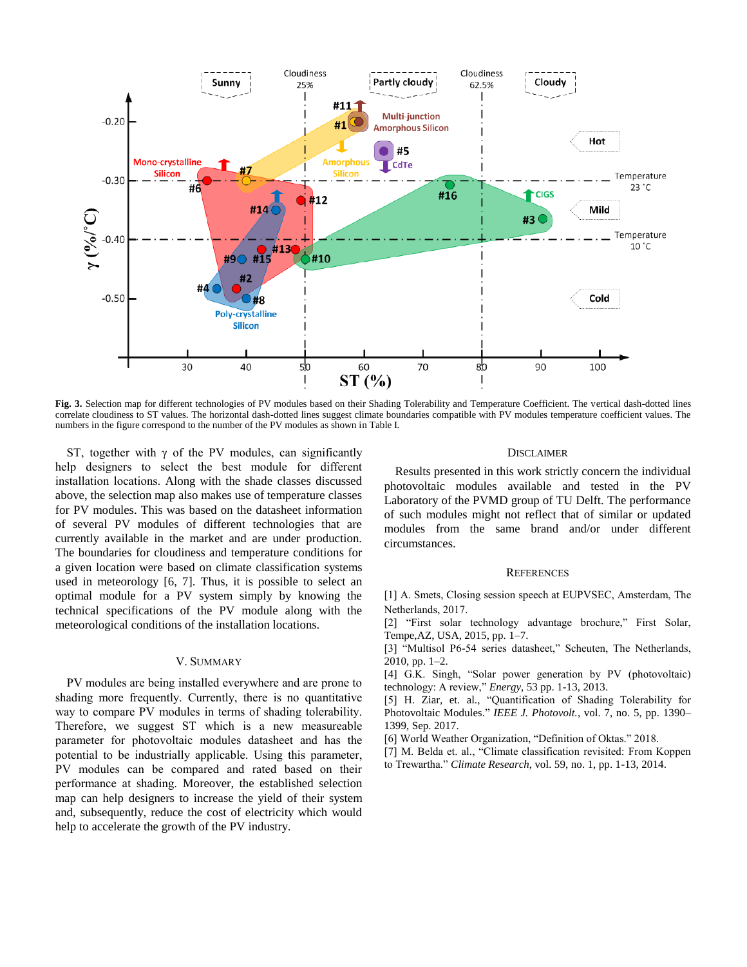

**Fig. 3.** Selection map for different technologies of PV modules based on their Shading Tolerability and Temperature Coefficient. The vertical dash-dotted lines correlate cloudiness to ST values. The horizontal dash-dotted lines suggest climate boundaries compatible with PV modules temperature coefficient values. The numbers in the figure correspond to the number of the PV modules as shown in Table I.

ST, together with  $\gamma$  of the PV modules, can significantly help designers to select the best module for different installation locations. Along with the shade classes discussed above, the selection map also makes use of temperature classes for PV modules. This was based on the datasheet information of several PV modules of different technologies that are currently available in the market and are under production. The boundaries for cloudiness and temperature conditions for a given location were based on climate classification systems used in meteorology [6, 7]. Thus, it is possible to select an optimal module for a PV system simply by knowing the technical specifications of the PV module along with the meteorological conditions of the installation locations.

#### V. SUMMARY

PV modules are being installed everywhere and are prone to shading more frequently. Currently, there is no quantitative way to compare PV modules in terms of shading tolerability. Therefore, we suggest ST which is a new measureable parameter for photovoltaic modules datasheet and has the potential to be industrially applicable. Using this parameter, PV modules can be compared and rated based on their performance at shading. Moreover, the established selection map can help designers to increase the yield of their system and, subsequently, reduce the cost of electricity which would help to accelerate the growth of the PV industry.

#### **DISCLAIMER**

Results presented in this work strictly concern the individual photovoltaic modules available and tested in the PV Laboratory of the PVMD group of TU Delft. The performance of such modules might not reflect that of similar or updated modules from the same brand and/or under different circumstances.

#### **REFERENCES**

[1] A. Smets, Closing session speech at EUPVSEC, Amsterdam, The Netherlands, 2017.

[2] "First solar technology advantage brochure," First Solar, Tempe,AZ, USA, 2015, pp. 1–7.

[3] "Multisol P6-54 series datasheet," Scheuten, The Netherlands, 2010, pp. 1–2.

[4] G.K. Singh, "Solar power generation by PV (photovoltaic) technology: A review," *Energy*, 53 pp. 1-13, 2013.

[5] H. Ziar, et. al., "Quantification of Shading Tolerability for Photovoltaic Modules." *IEEE J. Photovolt.*, vol. 7, no. 5, pp. 1390– 1399, Sep. 2017.

[6] World Weather Organization, "Definition of Oktas." 2018.

[7] M. Belda et. al., "Climate classification revisited: From Koppen to Trewartha." *Climate Research*, vol. 59, no. 1, pp. 1-13, 2014.